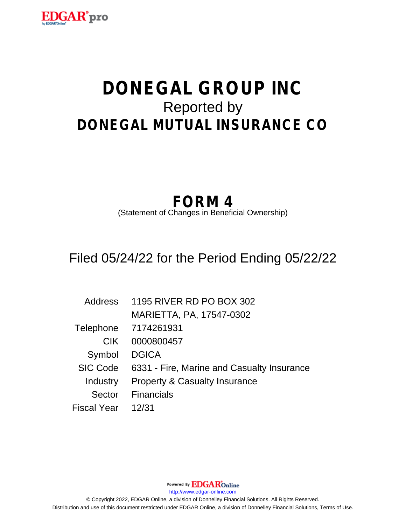

# **DONEGAL GROUP INC** Reported by **DONEGAL MUTUAL INSURANCE CO**

## **FORM 4**

(Statement of Changes in Beneficial Ownership)

### Filed 05/24/22 for the Period Ending 05/22/22

| Address            | 1195 RIVER RD PO BOX 302                   |
|--------------------|--------------------------------------------|
|                    | MARIETTA, PA, 17547-0302                   |
| Telephone          | 7174261931                                 |
| <b>CIK</b>         | 0000800457                                 |
| Symbol             | <b>DGICA</b>                               |
| <b>SIC Code</b>    | 6331 - Fire, Marine and Casualty Insurance |
| Industry           | <b>Property &amp; Casualty Insurance</b>   |
| Sector             | <b>Financials</b>                          |
| <b>Fiscal Year</b> | 12/31                                      |

Powered By **EDGAR**Online

http://www.edgar-online.com

© Copyright 2022, EDGAR Online, a division of Donnelley Financial Solutions. All Rights Reserved. Distribution and use of this document restricted under EDGAR Online, a division of Donnelley Financial Solutions, Terms of Use.